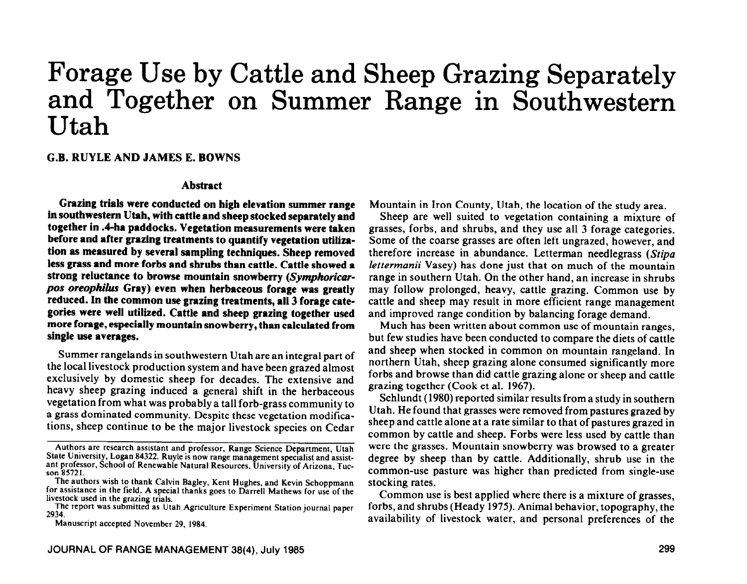# Forage Use by Cattle and Sheep Grazing Separately and Together on Summer Range in Southwestern Utah

## **G.B. RUYLE AND JAMES E. BOWNS**

#### **Abstract**

**Grazing trials were conducted on high elevation summer range in southwestern Utah, with cattle and sheep stocked separately and together in .4-ha paddocks. Vegetation measurements were taken before and after grazing treatments to quantify vegetation utilization as measured by several sampling techniques. Sheep removed less grass and more forbs and shrubs than cattle. Cattle showed a strong reluctance to browse mountain snowberry (Symphoricar***pos oreophilus* **Gray) even when herbaceous forage was greatly reduced. In the common use grazing treatments, all 3 forage categories were well utilized. Cattle and sheep grazing together used more forage, especially mountain snowberry, than calculated from single use averages.** 

Summer rangelands in southwestern Utah are an integral part of the local livestock production system and have been grazed almost exclusively by domestic sheep for decades. The extensive and heavy sheep grazing induced a general shift in the herbaceous vegetation from what was probably a tall forb-grass community to a grass dominated community. Despite these vegetation modifications, sheep continue to be the major livestock species on Cedar

The report was submitted as Utah Agriculture Experiment Station journal paper 2934.

Manuscript accepted November 29, 1984.

Mountain in Iron County, Utah, the location of the study area.

Sheep are well suited to vegetation containing a mixture of grasses, forbs, and shrubs, and they use all 3 forage categories. Some of the coarse grasses are often left ungrazed, however, and therefore increase in abundance. Letterman needlegrass (Stipa *lettermanii* Vasey) has done just that on much of the mountain range in southern Utah. On the other hand, an increase in shrubs may follow prolonged, heavy, cattle grazing. Common use by cattle and sheep may result in more efficient range management and improved range condition by balancing forage demand.

Much has been written about common use of mountain ranges, but few studies have been conducted to compare the diets of cattle and sheep when stocked in common on mountain rangeland. In northern Utah, sheep grazing alone consumed significantly more forbs and browse than did cattle grazing alone or sheep and cattle grazing together (Cook et al. 1967).

Schlundt (1980) reported similar results from a study in southern Utah. He found that grasses were removed from pastures grazed by sheep and cattle alone at a rate similar to that of pastures grazed in common by cattle and sheep. Forbs were less used by cattle than were the grasses. Mountain snowberry was browsed to a greater degree by sheep than by cattle. Additionally, shrub use in the common-use pasture was higher than predicted from single-use stocking rates.

Common use is best applied where there is a mixture of grasses, forbs, and shrubs (Heady 1975). Animal behavior, topography, the availability of livestock water, and personal preferences of the

Authors are research assistant and professor, Range Science Department, Utah State University, Logan 84322. Ruyle is now range management specialist and assistant professor, School of Renewable Natural Resources, University of Arizona, Tucson 85721.

The authors wish to thank Calvin Bagley, Kent Hughes, and Kevin Schoppmann for assistance in the field. A special thanks goes to Darrell Mathews for use of the livestock used in the grazing trials.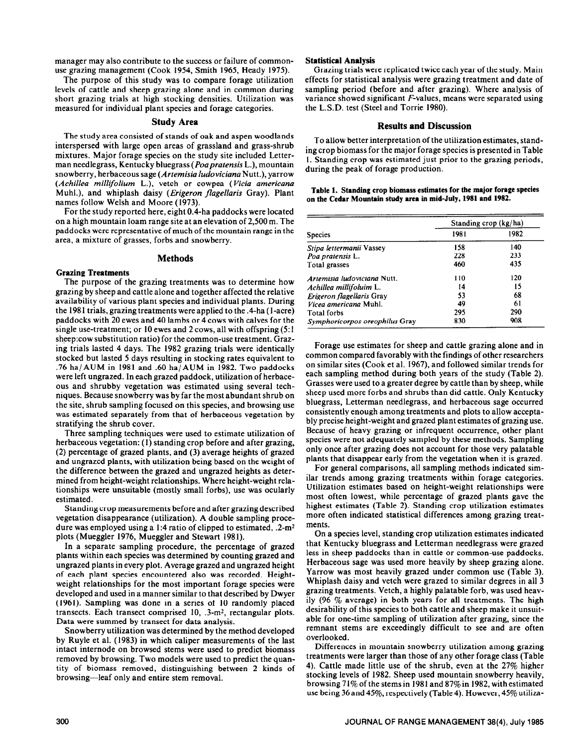manager may also contribute to the success or failure of commonuse grazing management (Cook 1954, Smith 1965, Heady 1975).

The purpose of this study was to compare forage utilization levels of cattle and sheep grazing alone and in common during short grazing trials at high stocking densities. Utilization was measured for individual plant species and forage categories.

## Study **Area**

The study area consisted of stands of oak and aspen woodlands interspersed with large open areas of grassland and grass-shrub mixtures. Major forage species on the study site included Letterman needlegrass, Kentucky bluegrass *(Poaprutensis* L.), mountain snowberry, herbaceous sage *(Artemisiu ludoviciana* Nutt.), yarrow *(Achilles millijolium* L.), vetch or cowpea *(Vicia americana*  Muhl.), and whiplash daisy *(Erigeron flagellaris* Gray). Plant names follow Welsh and Moore (1973).

For the study reported here, eight 0.4-ha paddocks were located on a high mountain loam range site at an elevation of 2,500 m. The paddocks were representative of much of the mountain range in the area, a mixture of grasses, forbs and snowberry.

#### **Methods**

## **Grazing Treatments**

The purpose of the grazing treatments was to determine how grazing by sheep and cattle alone and together affected the relative availability of various plant species and individual plants. During the 1981 trials, grazing treatments were applied to the .4-ha (1-acre) paddocks with 20 ewes and 40 lambs or 4 cows with calves for the single use-treatment; or 10 ewes and 2 cows, all with offspring (5: 1 sheep:cow substitution ratio) for the common-use treatment. Grazing trials lasted 4 days. The 1982 grazing trials were identically stocked but lasted 5 days resulting in stocking rates equivalent to .76 ha/AUM in 1981 and .60 ha/AUM in 1982. Two paddocks were left ungrazed. In each grazed paddock, utilization of herbaceous and shrubby vegetation was estimated using several techniques. Because snowberry was by far the most abundant shrub on the site, shrub sampling focused on this species, and browsing use was estimated separately from that of herbaceous vegetation by stratifying the shrub cover.

Three sampling techniques were used to estimate utilization of herbaceous vegetation: (1) standing crop before and after grazing, (2) percentage of grazed plants, and (3) average heights of grazed and ungrazed plants, with utilization being based on the weight of the difference between the grazed and ungrazed heights as determined from height-weight relationships. Where height-weight relationships were unsuitable (mostly small forbs), use was ocularly estimated.

Standing crop measurements before and after grazing described vegetation disappearance (utilization). A double sampling procedure was employed using a 1:4 ratio of clipped to estimated,  $.2\text{-m}^2$ plots (Mueggler 1976, Mueggler and Stewart 198 1).

In a separate sampling procedure, the percentage of grazed plants within each species was determined by counting grazed and ungrazed plants in every plot. Average grazed and ungrazed height of each plant species encountered also was recorded. Heightweight relationships for the most important forage species were developed and used in a manner similar to that described by Dwyer (1961). Sampling was done in a series of 10 randomly placed transects. Each transect comprised 10, .3-m<sup>2</sup>, rectangular plots. Data were summed by transect for data analysis.

Snowberry utilization was determined by the method developed by Ruyle et al. (1983) in which caliper measurements of the last intact internode on browsed stems were used to predict biomass removed by browsing. Two models were used to predict the quantity of biomass removed, distinguishing between 2 kinds of browsing-leaf only and entire stem removal.

#### **Statistical Analysis**

Grazing trials were replicated twice each year of the study. Main effects for statistical analysis were grazing treatment and date of sampling period (before and after grazing). Where analysis of variance showed significant F-values, means were separated using the L.S.D. test (Steel and Torrie 1980).

## **Results and Discussion**

To allow better interpretation of the utilizationestimates, standing crop biomass for the major forage species is presented in Table I. Standing crop was estimated just prior to the grazing periods, during the peak of forage production.

| Table 1. Standing crop biomass estimates for the major forage species |  |
|-----------------------------------------------------------------------|--|
| on the Cedar Mountain study area in mid-July, 1981 and 1982.          |  |

|                                | Standing crop (kg/ha) |      |  |  |
|--------------------------------|-----------------------|------|--|--|
| <b>Species</b>                 | 1981                  | 1982 |  |  |
| Stipa lettermanii Vassey       | 158                   | 140  |  |  |
| Poa pratensis L.               | 228                   | 233  |  |  |
| Total grasses                  | 460                   | 435  |  |  |
| Artemisia ludoviciana Nutt.    | 110                   | 120  |  |  |
| Achillea millifoluim L.        | 14                    | 15   |  |  |
| Erigeron flagellaris Gray      | 53                    | 68   |  |  |
| Vicea americana Muhl.          | 49                    | 61   |  |  |
| <b>Total forbs</b>             | 295                   | 290  |  |  |
| Symphoricorpos oreophilus Gray | 830                   | 908  |  |  |

Forage use estimates for sheep and cattle grazing alone and in common compared favorably with the findings of other researchers on similar sites (Cook et al. 1967), and followed similar trends for each sampling method during both years of the study (Table 2). Grasses were used to a greater degree by cattle than by sheep, while sheep used more forbs and shrubs than did cattle. Only Kentucky bluegrass, Letterman needlegrass, and herbaceous sage occurred consistently enough among treatments and plots to allow acceptably precise height-weight and grazed plant estimates of grazing use. Because of heavy grazing or infrequent occurrence, other plant species were not adequately sampled by these methods. Sampling only once after grazing does not account for those very palatable plants that disappear early from the vegetation when it is grazed.

For general comparisons, all sampling methods indicated similar trends among grazing treatments within forage categories. Utilization estimates based on height-weight relationships were most often lowest, while percentage of grazed plants gave the highest estimates (Table 2). Standing crop utilization estimates more often indicated statistical differences among grazing treatments.

On a species level, standing crop utilization estimates indicated that Kentucky bluegrass and Letterman needlegrass were grazed less in sheep paddocks than in cattle or common-use paddocks. Herbaceous sage was used more heavily by sheep grazing alone. Yarrow was most heavily grazed under common use (Table 3). Whiplash daisy and vetch were grazed to similar degrees in all 3 grazing treatments. Vetch, a highly palatable forb, was used heavily (96  $\%$  average) in both years for all treatments. The high desirability of this species to both cattle and sheep make it unsuitable for one-time sampling of utilization after grazing, since the remnant stems are exceedingly difficult to see and are often overlooked.

Differences in mountain snowberry utilization among grazing treatments were larger than those of any other forage class (Table 4). Cattle made little use of the shrub, even at the 27% higher stocking levels of 1982. Sheep used mountain snowberry heavily, browsing 7 1% of the stems in 1981 and 87% in 1982, with estimated use being 36 and 45%, respectively (Table 4). However, 45% utiliza-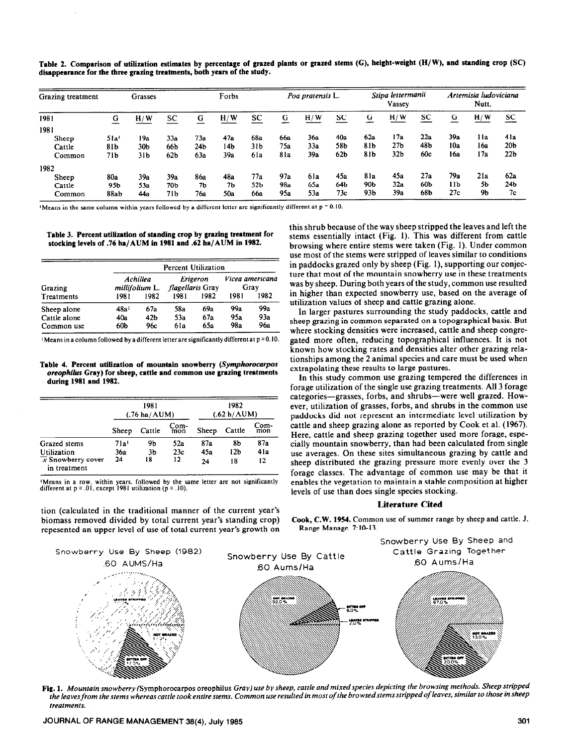| Grazing treatment | Grasses     |                 |                 |                 | Forbs |                 | Poa pratensis L. |     |                 | Stipa lettermanii<br>Vassey |                 |     | Artemisia ludoviciana<br>Nutt. |       |                 |
|-------------------|-------------|-----------------|-----------------|-----------------|-------|-----------------|------------------|-----|-----------------|-----------------------------|-----------------|-----|--------------------------------|-------|-----------------|
| 1981              | $\mathbf G$ | H/W             | SC              | G               | H/W   | SC              | G                | H/W | <b>SC</b>       | G                           | H/W             | SC  | G                              | H/W   | SC              |
| 1981              |             |                 |                 |                 |       |                 |                  |     |                 |                             |                 |     |                                |       |                 |
| Sheep             | 51a         | 19a             | 33a             | 73a             | 47a   | 68a             | 66a              | 36a | 40a             | 62a                         | 17a             | 22a | 39a                            | 1 l a | 41a             |
| Cattle            | 81b         | 30 <sub>b</sub> | 66b             | 24 <sub>b</sub> | l 4b  | 31 <sub>b</sub> | 75a              | 33a | 58b             | 81b                         | 27 <sub>b</sub> | 48b | 10a                            | 16a   | 20 <sub>b</sub> |
| Common            | 71b         | 31b             | 62 <sub>b</sub> | 63a             | 39a   | 6la             | 81a              | 39а | 62 <sub>b</sub> | 81b                         | 32 <sub>b</sub> | 60c | 16a                            | 17a   | 22 <sub>b</sub> |
| 1982              |             |                 |                 |                 |       |                 |                  |     |                 |                             |                 |     |                                |       |                 |
| Sheep             | 80a         | 39а             | 39a             | <b>86a</b>      | 48a   | 77a             | 97a              | 6la | 45a             | 8la                         | 45a             | 27a | 79a                            | 21a   | 62a             |
| Cattle            | 95b         | 53a             | 70Ь             | 7Ь              | 7Ь    | 52 <sub>b</sub> | 98a              | 65a | 64b             | 90Ь                         | 32a             | 60Ь | 11b                            | 5b    | 24Ь             |
| Common            | 88ab        | 44a             | 71Ь             | 76a             | 50a   | 66a             | 95a              | 53a | 73c             | 93 <sub>b</sub>             | 39a             | 68b | 27c                            | 9b    | 7c              |

**Table 2. Comparison of utilization estimates by percentage of grazed plants or grazed stems (C), height-weight (H/W), and standing crop (SC) disappearance for the three grazing treatments, both years of the study.** 

**'Means in the same column within years followed by a different letter are significantly different at p = 0.10** 

**Table 3. Percent utilization of standing crop by grazing treatment for stocking levels of .76 ba/AUM in 1981 and .62 ba/AUM in 1982.** 

| Grazing<br>Treatments | <b>Percent Utilization</b> |                                   |                  |          |                         |      |  |  |
|-----------------------|----------------------------|-----------------------------------|------------------|----------|-------------------------|------|--|--|
|                       |                            | Achillea<br><i>millifolium</i> L. | flagellaris Gray | Erigeron | Vicea americana<br>Grav |      |  |  |
|                       | 1981                       | 1982                              | 1981             | 1982     | 1981                    | 1982 |  |  |
| Sheep alone           | 48a <sup>1</sup>           | 67a                               | 58a              | 69a      | 99a                     | 99a  |  |  |
| Cattle alone          | 40a                        | 42 <sub>b</sub>                   | 53a              | 67a      | 95a                     | 93a  |  |  |
| Common use            | 60b                        | 96с                               | 6la              | 65a      | 98a                     | 96a  |  |  |

<sup>1</sup> Means in a column followed by a different letter are significantly different at p = 0.10.

Table 4. Percent utilization of mountain snowberry (Symphorocarpos *oreophilus* **Gray) for sheep, cattle and common use grazing treatments during 1981 and 1982.** 

|                                                |                  | 1981<br>$(.76 \text{ ha} / \text{AUM})$ |             | 1982<br>(.62 h/AUM) |        |             |  |
|------------------------------------------------|------------------|-----------------------------------------|-------------|---------------------|--------|-------------|--|
|                                                | Sheep            | Cattle                                  | Com-<br>mon | Sheep               | Cattle | Com-<br>mon |  |
| Grazed stems                                   | 71a <sup>1</sup> | 9b                                      | 52a         | 87a                 | 8b     | 87a         |  |
| Utilization                                    | 36a              | 3 <sub>b</sub>                          | 23c         | 45a                 | 12b    | 4la         |  |
| $\overline{x}$ Snowberry cover<br>in treatment | 24               | 18                                      | 12          | 24                  | 18     | 12          |  |

**'Means in a row, within years, followed by the same letter are not significantly different at p = .Ol, except 1981 utilization (p = .lO).** 

tion (calculated in the traditional manner of the current year's biomass removed divided by total current year's standing crop) repesented an upper level of use of total current year's growth on this shrub because of the way sheep stripped the leaves and left the stems essentially intact (Fig. 1). This was different from cattle browsing where entire stems were taken (Fig. 1). Under common use most of the stems were stripped of leaves similar to conditions in paddocks grazed only by sheep (Fig. I), supporting our conjecture that most of the mountain snowberry use in these treatments was by sheep. During both years of the study, common use resulted in higher than expected snowberry use, based on the average of utilization values of sheep and cattle grazing alone.

In larger pastures surrounding the study paddocks, cattle and sheep grazing in common separated on a topographical basis. But where stocking densities were increased, cattle and sheep congregated more often, reducing topographical influences. It is not known how stocking rates and densities alter other grazing relationships among the 2 animal species and care must be used when extrapolating these results to large pastures.

In this study common use grazing tempered the differences in forage utilization of the single use grazing treatments. All 3 forage categories-grasses, forbs, and shrubs-were well grazed. However, utilization of grasses, forbs, and shrubs in the common use paddocks did not represent an intermediate level utilization by cattle and sheep grazing alone as reported by Cook et al. (1967). Here, cattle and sheep grazing together used more forage, especially mountain snowberry, than had been calculated from single use averages. On these sites simultaneous grazing by cattle and sheep distributed the grazing pressure more evenly over the 3 forage classes. The advantage of common use may be that it enables the vegetation to maintain a stable composition at higher levels of use than does single species stocking.

# **Literature Cited**

**Cook, C.W. 1954. Common** use of summer range by sheep and cattle. J. Range Manage. 7:lO-13.



**Fig. 1.** *Mountain snowberry* (Symphorocarpos oreophilus Gray) use *by sheep, cattle and mixed species depicting the browsing methods. Sheep stripped the leaves from the stems whereas cattle took entire stems. Common use resulted in most of the browsed stems stripped of leaves, similar to those in sheep treotments.*